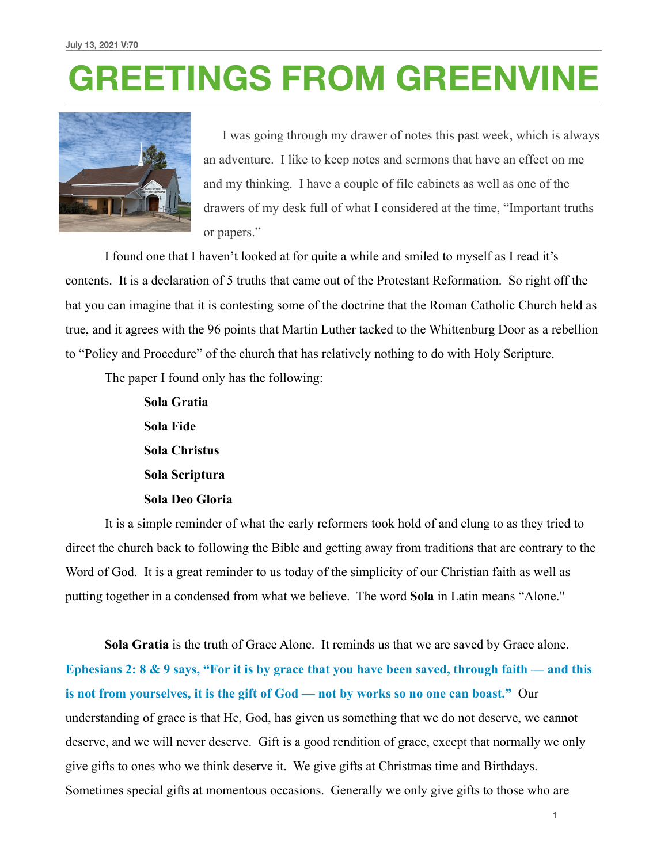## **GREETINGS FROM GREENVINE**



 I was going through my drawer of notes this past week, which is always an adventure. I like to keep notes and sermons that have an effect on me and my thinking. I have a couple of file cabinets as well as one of the drawers of my desk full of what I considered at the time, "Important truths or papers."

 I found one that I haven't looked at for quite a while and smiled to myself as I read it's contents. It is a declaration of 5 truths that came out of the Protestant Reformation. So right off the bat you can imagine that it is contesting some of the doctrine that the Roman Catholic Church held as true, and it agrees with the 96 points that Martin Luther tacked to the Whittenburg Door as a rebellion to "Policy and Procedure" of the church that has relatively nothing to do with Holy Scripture.

The paper I found only has the following:

 **Sola Gratia Sola Fide Sola Christus Sola Scriptura Sola Deo Gloria** 

It is a simple reminder of what the early reformers took hold of and clung to as they tried to direct the church back to following the Bible and getting away from traditions that are contrary to the Word of God. It is a great reminder to us today of the simplicity of our Christian faith as well as putting together in a condensed from what we believe. The word **Sola** in Latin means "Alone."

**Sola Gratia** is the truth of Grace Alone. It reminds us that we are saved by Grace alone. **Ephesians 2: 8 & 9 says, "For it is by grace that you have been saved, through faith — and this is not from yourselves, it is the gift of God — not by works so no one can boast."** Our understanding of grace is that He, God, has given us something that we do not deserve, we cannot deserve, and we will never deserve. Gift is a good rendition of grace, except that normally we only give gifts to ones who we think deserve it. We give gifts at Christmas time and Birthdays. Sometimes special gifts at momentous occasions. Generally we only give gifts to those who are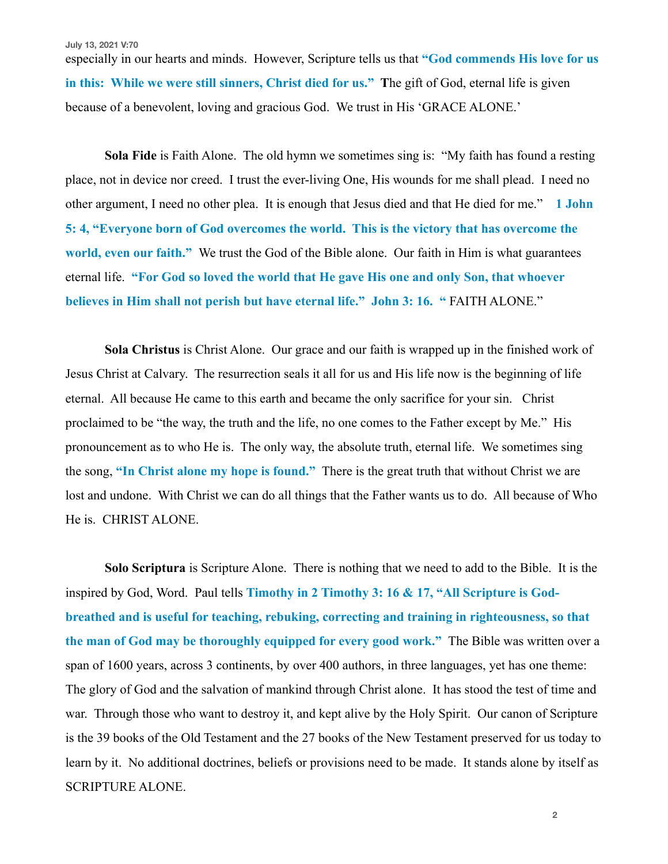**July 13, 2021 V:70**

especially in our hearts and minds. However, Scripture tells us that **"God commends His love for us in this: While we were still sinners, Christ died for us." T**he gift of God, eternal life is given because of a benevolent, loving and gracious God. We trust in His 'GRACE ALONE.'

**Sola Fide** is Faith Alone. The old hymn we sometimes sing is: "My faith has found a resting place, not in device nor creed. I trust the ever-living One, His wounds for me shall plead. I need no other argument, I need no other plea. It is enough that Jesus died and that He died for me." **1 John 5: 4, "Everyone born of God overcomes the world. This is the victory that has overcome the world, even our faith."** We trust the God of the Bible alone. Our faith in Him is what guarantees eternal life. **"For God so loved the world that He gave His one and only Son, that whoever believes in Him shall not perish but have eternal life." John 3: 16. "** FAITH ALONE."

**Sola Christus** is Christ Alone. Our grace and our faith is wrapped up in the finished work of Jesus Christ at Calvary. The resurrection seals it all for us and His life now is the beginning of life eternal. All because He came to this earth and became the only sacrifice for your sin. Christ proclaimed to be "the way, the truth and the life, no one comes to the Father except by Me." His pronouncement as to who He is. The only way, the absolute truth, eternal life. We sometimes sing the song, **"In Christ alone my hope is found."** There is the great truth that without Christ we are lost and undone. With Christ we can do all things that the Father wants us to do. All because of Who He is. CHRIST ALONE.

**Solo Scriptura** is Scripture Alone. There is nothing that we need to add to the Bible. It is the inspired by God, Word. Paul tells **Timothy in 2 Timothy 3: 16 & 17, "All Scripture is Godbreathed and is useful for teaching, rebuking, correcting and training in righteousness, so that the man of God may be thoroughly equipped for every good work."** The Bible was written over a span of 1600 years, across 3 continents, by over 400 authors, in three languages, yet has one theme: The glory of God and the salvation of mankind through Christ alone. It has stood the test of time and war. Through those who want to destroy it, and kept alive by the Holy Spirit. Our canon of Scripture is the 39 books of the Old Testament and the 27 books of the New Testament preserved for us today to learn by it. No additional doctrines, beliefs or provisions need to be made. It stands alone by itself as SCRIPTURE ALONE.

**2**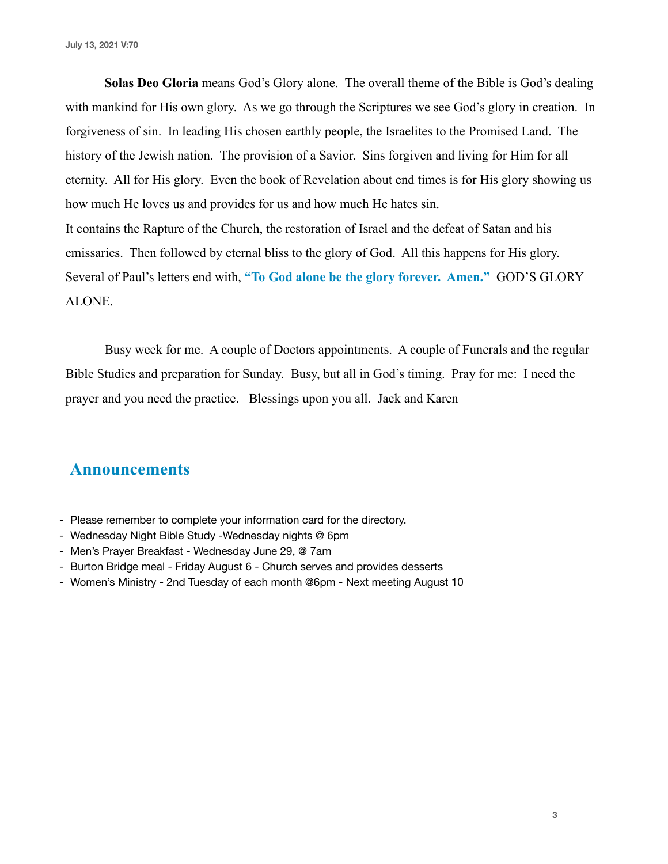**Solas Deo Gloria** means God's Glory alone. The overall theme of the Bible is God's dealing with mankind for His own glory. As we go through the Scriptures we see God's glory in creation. In forgiveness of sin. In leading His chosen earthly people, the Israelites to the Promised Land. The history of the Jewish nation. The provision of a Savior. Sins forgiven and living for Him for all eternity. All for His glory. Even the book of Revelation about end times is for His glory showing us how much He loves us and provides for us and how much He hates sin. It contains the Rapture of the Church, the restoration of Israel and the defeat of Satan and his emissaries. Then followed by eternal bliss to the glory of God. All this happens for His glory.

Several of Paul's letters end with, **"To God alone be the glory forever. Amen."** GOD'S GLORY ALONE.

 Busy week for me. A couple of Doctors appointments. A couple of Funerals and the regular Bible Studies and preparation for Sunday. Busy, but all in God's timing. Pray for me: I need the prayer and you need the practice. Blessings upon you all. Jack and Karen

## **Announcements**

- Please remember to complete your information card for the directory.
- Wednesday Night Bible Study -Wednesday nights @ 6pm
- Men's Prayer Breakfast Wednesday June 29, @ 7am
- Burton Bridge meal Friday August 6 Church serves and provides desserts
- Women's Ministry 2nd Tuesday of each month @6pm Next meeting August 10